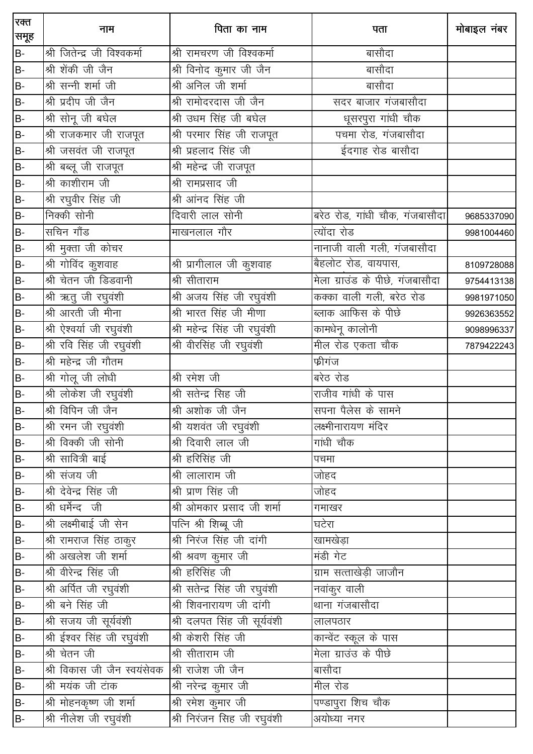| रक्त<br>समूह   | नाम                          | पिता का नाम                   | पता                             | मोबाइल नंबर |
|----------------|------------------------------|-------------------------------|---------------------------------|-------------|
| B-             | श्री जितेन्द्र जी विश्वकर्मा | श्री रामचरण जी विश्वकर्मा     | बासौदा                          |             |
| B-             | श्री शेंकी जी जैन            | श्री विनोद कुमार जी जैन       | बासौदा                          |             |
| B-             | श्री सन्नी शर्मा जी          | श्री अनिल जी शर्मा            | बासौदा                          |             |
| $B -$          | श्री प्रदीप जी जैन           | श्री रामोदरदास जी जैन         | सदर बाजार गंजबासौदा             |             |
| B-             | श्री सोनू जी बघेल            | श्री उधम सिंह जी बघेल         | धूसरपुरा गांधी चौक              |             |
| B-             | श्री राजकमार जी राजपूत       | श्री परमार सिंह जी राजपूत     | पचमा रोड, गंजबासौदा             |             |
| B-             | __<br>श्री जसवंत जी राजपूत   | श्री प्रहलाद सिंह जी          | ईदगाह रोड बासौदा                |             |
| B-             | श्री बब्लू जी राजपूत         | श्री महेन्द्र जी राजपूत       |                                 |             |
| B-             | श्री काशीराम जी              | श्री रामप्रसाद जी             |                                 |             |
| B-             | <u>श्री</u> रघुवीर सिंह जी   | श्री आंनद सिंह जी             |                                 |             |
| B-             | निक्की सोनी                  | दिवारी लाल सोनी               | बरेठ रोड, गांधी चौक, गंजबासौदा  | 9685337090  |
| B-             | सचिन गौंड                    | माखनलाल गौर                   | त्योंदा रोड                     | 9981004460  |
| B-             | <u>श्री</u> मुक्ता जी कोचर   |                               | नानाजी वाली गली, गंजबासौदा      |             |
| B-             | ्र<br>श्री गोविंद कुशवाह     | श्री प्रागीलाल जी कुशवाह      | बैहलोट रोड, वायपास,             | 8109728088  |
| B-             | श्री चेतन जी डिडवानी         | श्री सीताराम                  | मेला ग्राउंड के पीछे, गंजबासौदा | 9754413138  |
| B-             | श्री ऋतु जी रघुवंशी          | श्री अजय सिंह जी रघुवंशी      | कक्का वाली गली, बरेठ रोड        | 9981971050  |
| B-             | श्री आरती जी मीना            | श्री भारत सिंह जी मीणा        | ब्लाक आफिस के पीछे              | 9926363552  |
| B-             | श्री ऐश्वर्या जी रघुवंशी     | श्री महेन्द्र सिंह जी रघुवंशी | कामधेनू कालोनी                  | 9098996337  |
| $B -$          | श्री रवि सिंह जी रघुवंशी     | श्री वीरसिंह जी रघुवंशी       | मील रोड एकता चौक                | 7879422243  |
| B-             | श्री महेन्द्र जी गौतम        |                               | फ्रीगंज                         |             |
| B-             | श्री गोलू जी लोधी            | श्री रमेश जी                  | बरेठ रोड                        |             |
| $B -$          | श्री लोकेश जी रघुवंशी        | श्री सतेन्द्र सिह जी          | राजीव गांधी के पास              |             |
| $B -$          | श्री विपिन जी जैन            | श्री अशोक जी जैन              | सपना पैलेस के सामने             |             |
| $B -$          | श्री रमन जी रघुवंशी          | श्री यशवंत जी रघुवंशी         | लक्ष्मीनारायण मंदिर             |             |
| B-             | श्री विक्की जी सोनी          | श्री दिवारी लाल जी            | गांधी चौक                       |             |
| B-             | श्री सावित्री बाई            | श्री हरिसिंह जी               | पचमा                            |             |
| B-             | श्री संजय जी                 | श्री लालाराम जी               | जोहद                            |             |
| B-             | श्री देवेन्द्र सिंह जी       | श्री प्राण सिंह जी            | जोहद                            |             |
| B-             | श्री धर्मेन्द जी             | श्री ओमकार प्रसाद जी शर्मा    | गमाखर                           |             |
| B-             | श्री लक्ष्मीबाई जी सेन       | पत्नि श्री शिब्बू जी          | घटेरा                           |             |
| B-             | श्री रामराज सिंह ठाकुर       | श्री निरंज सिंह जी दांगी      | _<br>खामखेड़ा                   |             |
| $B -$          | श्री अखलेश जी शर्मा          | श्री श्रवण कुमार जी           | मंडी गेट                        |             |
| B-             | श्री वीरेन्द्र सिंह जी       | श्री हरिसिंह जी               | ग्राम सत्ताखेड़ी जाजौन          |             |
| B-             | श्री अर्पित जी रघुवंशी       | श्री सतेन्द्र सिंह जी रघुवंशी | नवांकुर वाली                    |             |
| $\overline{a}$ | श्री बने सिंह जी             | श्री शिवनारायण जी दांगी       | थाना गंजबासौदा                  |             |
| B-             | श्री सजय जी सूर्यवंशी        | श्री दलपत सिंह जी सूर्यवंशी   | लालपठार                         |             |
| B-             | श्री ईश्वर सिंह जी रघुवंशी   | श्री केशरी सिंह जी            | कान्वेंट स्कूल के पास           |             |
| B-             | श्री चेतन जी                 | श्री सीताराम जी               | मेला ग्राउंउ के पीछे            |             |
| B-             | श्री विकास जी जैन स्वयंसेवक  | श्री राजेश जी जैन             | बासौदा                          |             |
| B-             | श्री मयंक जी टांक            | श्री नरेन्द्र कुमार जी        | मील रोड                         |             |
| B-             | श्री मोहनकृष्ण जी शर्मा      | श्री रमेश कुमार जी            | पण्डापुरा शिच चौक               |             |
| B-             | श्री नीलेश जी रघुवंशी        | श्री निरंजन सिह जी रघुवंशी    | _<br>अयोध्या नगर                |             |